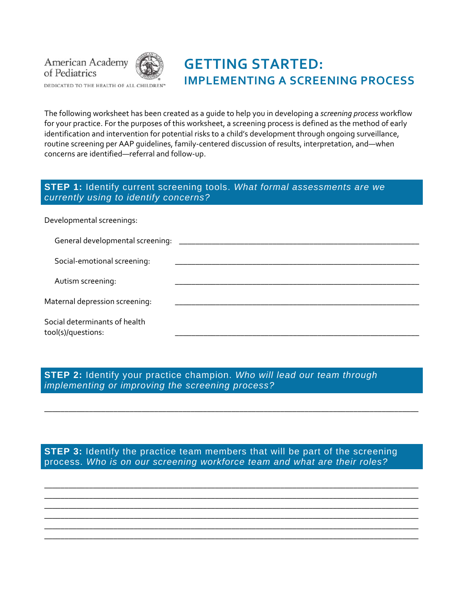

DEDICATED TO THE HEALTH OF ALL CHILDREN"

# **GETTING STARTED: IMPLEMENTING A SCREENING PROCESS**

The following worksheet has been created as a guide to help you in developing a *screening process* workflow for your practice. For the purposes of this worksheet, a screening process is defined as the method of early identification and intervention for potential risks to a child's development through ongoing surveillance, routine screening per AAP guidelines, family‐centered discussion of results, interpretation, and—when concerns are identified—referral and follow‐up.

#### **STEP 1:** Identify current screening tools. *What formal assessments are we currently using to identify concerns?*

Developmental screenings:

| General developmental screening: _________          |  |
|-----------------------------------------------------|--|
| Social-emotional screening:                         |  |
| Autism screening:                                   |  |
| Maternal depression screening:                      |  |
| Social determinants of health<br>tool(s)/questions: |  |

**STEP 2:** Identify your practice champion. *Who will lead our team through implementing or improving the screening process?*

**STEP 3:** Identify the practice team members that will be part of the screening process. *Who is on our screening workforce team and what are their roles?*

\_\_\_\_\_\_\_\_\_\_\_\_\_\_\_\_\_\_\_\_\_\_\_\_\_\_\_\_\_\_\_\_\_\_\_\_\_\_\_\_\_\_\_\_\_\_\_\_\_\_\_\_\_\_\_\_\_\_\_\_\_\_\_\_\_\_\_\_\_\_\_\_\_\_\_\_\_\_\_\_\_\_\_\_\_\_\_\_\_\_\_\_

\_\_\_\_\_\_\_\_\_\_\_\_\_\_\_\_\_\_\_\_\_\_\_\_\_\_\_\_\_\_\_\_\_\_\_\_\_\_\_\_\_\_\_\_\_\_\_\_\_\_\_\_\_\_\_\_\_\_\_\_\_\_\_\_\_\_\_\_\_\_\_\_\_\_\_\_\_\_\_\_\_\_\_\_\_\_\_\_\_\_\_\_ \_\_\_\_\_\_\_\_\_\_\_\_\_\_\_\_\_\_\_\_\_\_\_\_\_\_\_\_\_\_\_\_\_\_\_\_\_\_\_\_\_\_\_\_\_\_\_\_\_\_\_\_\_\_\_\_\_\_\_\_\_\_\_\_\_\_\_\_\_\_\_\_\_\_\_\_\_\_\_\_\_\_\_\_\_\_\_\_\_\_\_\_ \_\_\_\_\_\_\_\_\_\_\_\_\_\_\_\_\_\_\_\_\_\_\_\_\_\_\_\_\_\_\_\_\_\_\_\_\_\_\_\_\_\_\_\_\_\_\_\_\_\_\_\_\_\_\_\_\_\_\_\_\_\_\_\_\_\_\_\_\_\_\_\_\_\_\_\_\_\_\_\_\_\_\_\_\_\_\_\_\_\_\_\_ \_\_\_\_\_\_\_\_\_\_\_\_\_\_\_\_\_\_\_\_\_\_\_\_\_\_\_\_\_\_\_\_\_\_\_\_\_\_\_\_\_\_\_\_\_\_\_\_\_\_\_\_\_\_\_\_\_\_\_\_\_\_\_\_\_\_\_\_\_\_\_\_\_\_\_\_\_\_\_\_\_\_\_\_\_\_\_\_\_\_\_\_ \_\_\_\_\_\_\_\_\_\_\_\_\_\_\_\_\_\_\_\_\_\_\_\_\_\_\_\_\_\_\_\_\_\_\_\_\_\_\_\_\_\_\_\_\_\_\_\_\_\_\_\_\_\_\_\_\_\_\_\_\_\_\_\_\_\_\_\_\_\_\_\_\_\_\_\_\_\_\_\_\_\_\_\_\_\_\_\_\_\_\_\_ \_\_\_\_\_\_\_\_\_\_\_\_\_\_\_\_\_\_\_\_\_\_\_\_\_\_\_\_\_\_\_\_\_\_\_\_\_\_\_\_\_\_\_\_\_\_\_\_\_\_\_\_\_\_\_\_\_\_\_\_\_\_\_\_\_\_\_\_\_\_\_\_\_\_\_\_\_\_\_\_\_\_\_\_\_\_\_\_\_\_\_\_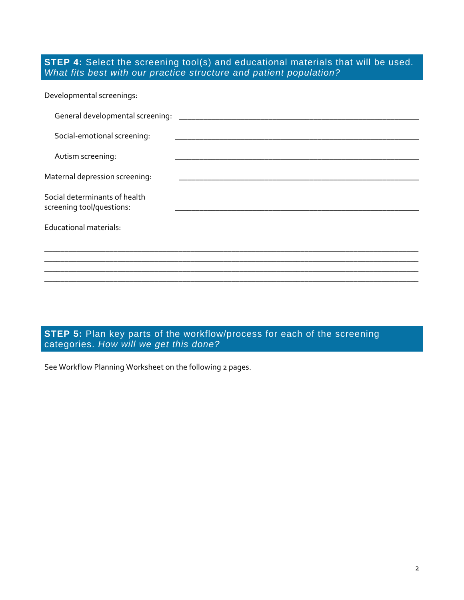#### **STEP 4:** Select the screening tool(s) and educational materials that will be used. *What fits best with our practice structure and patient population?*

| Developmental screenings:                                  |                                                                   |  |  |
|------------------------------------------------------------|-------------------------------------------------------------------|--|--|
| General developmental screening:                           |                                                                   |  |  |
| Social-emotional screening:                                | <u> 1989 - Johann John Stein, Amerikaansk politiker (d. 1989)</u> |  |  |
| Autism screening:                                          |                                                                   |  |  |
| Maternal depression screening:                             |                                                                   |  |  |
| Social determinants of health<br>screening tool/questions: |                                                                   |  |  |
| Educational materials:                                     |                                                                   |  |  |
|                                                            |                                                                   |  |  |
|                                                            |                                                                   |  |  |
|                                                            |                                                                   |  |  |

**STEP 5:** Plan key parts of the workflow/process for each of the screening categories. *How will we get this done?* 

See Workflow Planning Worksheet on the following 2 pages.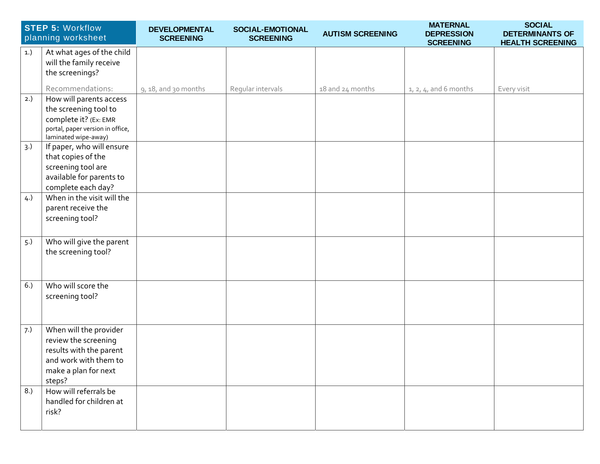|     | <b>STEP 5: Workflow</b><br>planning worksheet                           | DEVELOPMENTAL<br><b>SCREENING</b> | SOCIAL-EMOTIONAL<br><b>SCREENING</b> | <b>AUTISM SCREENING</b> | <b>MATERNAL</b><br><b>DEPRESSION</b><br><b>SCREENING</b> | <b>SOCIAL</b><br><b>DETERMINANTS OF</b><br><b>HEALTH SCREENING</b> |
|-----|-------------------------------------------------------------------------|-----------------------------------|--------------------------------------|-------------------------|----------------------------------------------------------|--------------------------------------------------------------------|
| 1.) | At what ages of the child<br>will the family receive<br>the screenings? |                                   |                                      |                         |                                                          |                                                                    |
|     | Recommendations:                                                        | $9, 18,$ and 30 months            | Regular intervals                    | 18 and 24 months        | $1, 2, 4$ , and 6 months                                 | Every visit                                                        |
| 2.) | How will parents access                                                 |                                   |                                      |                         |                                                          |                                                                    |
|     | the screening tool to<br>complete it? (Ex: EMR                          |                                   |                                      |                         |                                                          |                                                                    |
|     | portal, paper version in office,<br>laminated wipe-away)                |                                   |                                      |                         |                                                          |                                                                    |
| 3.) | If paper, who will ensure                                               |                                   |                                      |                         |                                                          |                                                                    |
|     | that copies of the                                                      |                                   |                                      |                         |                                                          |                                                                    |
|     | screening tool are<br>available for parents to                          |                                   |                                      |                         |                                                          |                                                                    |
|     | complete each day?                                                      |                                   |                                      |                         |                                                          |                                                                    |
| 4.) | When in the visit will the                                              |                                   |                                      |                         |                                                          |                                                                    |
|     | parent receive the                                                      |                                   |                                      |                         |                                                          |                                                                    |
|     | screening tool?                                                         |                                   |                                      |                         |                                                          |                                                                    |
|     |                                                                         |                                   |                                      |                         |                                                          |                                                                    |
| 5.) | Who will give the parent                                                |                                   |                                      |                         |                                                          |                                                                    |
|     | the screening tool?                                                     |                                   |                                      |                         |                                                          |                                                                    |
|     |                                                                         |                                   |                                      |                         |                                                          |                                                                    |
| 6.) | Who will score the                                                      |                                   |                                      |                         |                                                          |                                                                    |
|     | screening tool?                                                         |                                   |                                      |                         |                                                          |                                                                    |
|     |                                                                         |                                   |                                      |                         |                                                          |                                                                    |
| 7.) | When will the provider                                                  |                                   |                                      |                         |                                                          |                                                                    |
|     | review the screening<br>results with the parent                         |                                   |                                      |                         |                                                          |                                                                    |
|     | and work with them to                                                   |                                   |                                      |                         |                                                          |                                                                    |
|     | make a plan for next                                                    |                                   |                                      |                         |                                                          |                                                                    |
|     | steps?                                                                  |                                   |                                      |                         |                                                          |                                                                    |
| 8.) | How will referrals be                                                   |                                   |                                      |                         |                                                          |                                                                    |
|     | handled for children at                                                 |                                   |                                      |                         |                                                          |                                                                    |
|     | risk?                                                                   |                                   |                                      |                         |                                                          |                                                                    |
|     |                                                                         |                                   |                                      |                         |                                                          |                                                                    |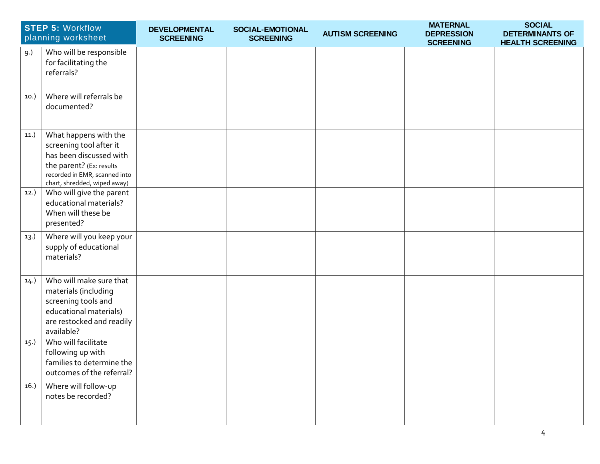|      | <b>STEP 5: Workflow</b><br>planning worksheet                                                                                                                            | DEVELOPMENTAL<br><b>SCREENING</b> | SOCIAL-EMOTIONAL<br><b>SCREENING</b> | <b>AUTISM SCREENING</b> | <b>MATERNAL</b><br><b>DEPRESSION</b><br><b>SCREENING</b> | <b>SOCIAL</b><br><b>DETERMINANTS OF</b><br><b>HEALTH SCREENING</b> |
|------|--------------------------------------------------------------------------------------------------------------------------------------------------------------------------|-----------------------------------|--------------------------------------|-------------------------|----------------------------------------------------------|--------------------------------------------------------------------|
| 9.)  | Who will be responsible<br>for facilitating the<br>referrals?                                                                                                            |                                   |                                      |                         |                                                          |                                                                    |
| 10.) | Where will referrals be<br>documented?                                                                                                                                   |                                   |                                      |                         |                                                          |                                                                    |
| 11.) | What happens with the<br>screening tool after it<br>has been discussed with<br>the parent? (Ex: results<br>recorded in EMR, scanned into<br>chart, shredded, wiped away) |                                   |                                      |                         |                                                          |                                                                    |
| 12.) | Who will give the parent<br>educational materials?<br>When will these be<br>presented?                                                                                   |                                   |                                      |                         |                                                          |                                                                    |
| 13.) | Where will you keep your<br>supply of educational<br>materials?                                                                                                          |                                   |                                      |                         |                                                          |                                                                    |
| 14.) | Who will make sure that<br>materials (including<br>screening tools and<br>educational materials)<br>are restocked and readily<br>available?                              |                                   |                                      |                         |                                                          |                                                                    |
| 15.  | Who will facilitate<br>following up with<br>families to determine the<br>outcomes of the referral?                                                                       |                                   |                                      |                         |                                                          |                                                                    |
| 16.  | Where will follow-up<br>notes be recorded?                                                                                                                               |                                   |                                      |                         |                                                          |                                                                    |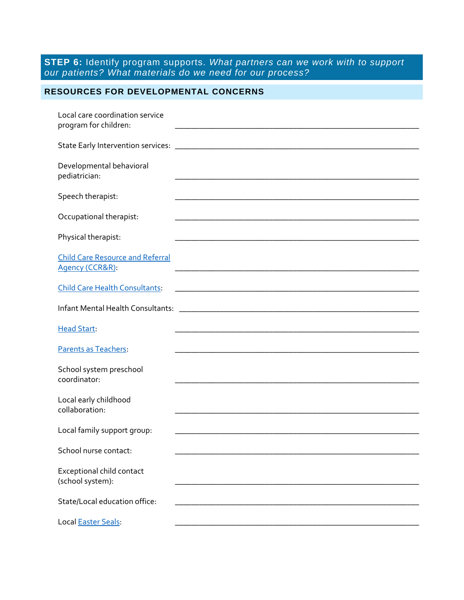**STEP 6:** Identify program supports. *What partners can we work with to support our patients? What materials do we need for our process?*

## **RESOURCES FOR DEVELOPMENTAL CONCERNS**

| Local care coordination service<br>program for children:   |                                                                                                                      |
|------------------------------------------------------------|----------------------------------------------------------------------------------------------------------------------|
|                                                            |                                                                                                                      |
| Developmental behavioral<br>pediatrician:                  | <u> 1989 - Johann John Stein, markin fan it ferstjer fan de ferstjer fan it ferstjer fan it ferstjer fan it fers</u> |
| Speech therapist:                                          |                                                                                                                      |
| Occupational therapist:                                    |                                                                                                                      |
| Physical therapist:                                        |                                                                                                                      |
| <b>Child Care Resource and Referral</b><br>Agency (CCR&R): |                                                                                                                      |
| <b>Child Care Health Consultants:</b>                      |                                                                                                                      |
|                                                            |                                                                                                                      |
| <b>Head Start:</b>                                         |                                                                                                                      |
| Parents as Teachers:                                       | and the control of the control of the control of the control of the control of the control of the control of the     |
| School system preschool<br>coordinator:                    |                                                                                                                      |
| Local early childhood<br>collaboration:                    |                                                                                                                      |
| Local family support group:                                |                                                                                                                      |
| School nurse contact:                                      |                                                                                                                      |
| Exceptional child contact<br>(school system):              |                                                                                                                      |
| State/Local education office:                              |                                                                                                                      |
| Local Easter Seals:                                        |                                                                                                                      |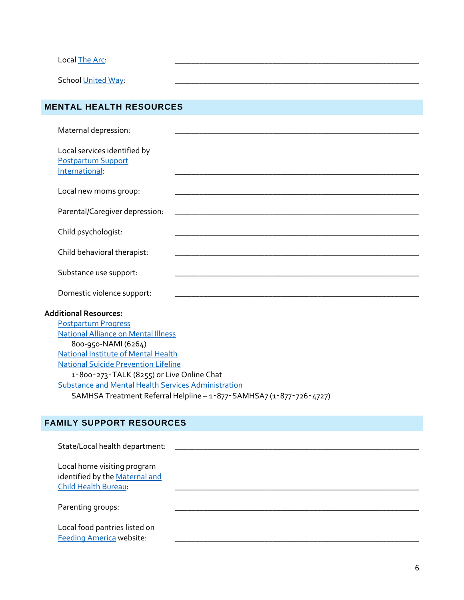| Local The Arc:                                                              |                                             |  |
|-----------------------------------------------------------------------------|---------------------------------------------|--|
| School United Way:                                                          |                                             |  |
|                                                                             |                                             |  |
| <b>MENTAL HEALTH RESOURCES</b>                                              |                                             |  |
| Maternal depression:                                                        |                                             |  |
| Local services identified by<br><b>Postpartum Support</b><br>International: |                                             |  |
| Local new moms group:                                                       |                                             |  |
| Parental/Caregiver depression:                                              |                                             |  |
| Child psychologist:                                                         |                                             |  |
| Child behavioral therapist:                                                 |                                             |  |
| Substance use support:                                                      |                                             |  |
| Domestic violence support:                                                  |                                             |  |
| <b>Additional Resources:</b>                                                |                                             |  |
| <b>Postpartum Progress</b>                                                  |                                             |  |
| <b>National Alliance on Mental Illness</b>                                  |                                             |  |
| 800-950-NAMI (6264)                                                         |                                             |  |
| <b>National Institute of Mental Health</b>                                  |                                             |  |
|                                                                             | <b>National Suicide Prevention Lifeline</b> |  |
| 1-800-273-TALK (8255) or Live Online Chat                                   |                                             |  |
| Substance and Mental Health Services Administration                         |                                             |  |
| SAMHSA Treatment Referral Helpline - 1-877-SAMHSA7 (1-877-726-4727)         |                                             |  |

# **FAMILY SUPPORT RESOURCES**

| State/Local health department:                                                        |  |
|---------------------------------------------------------------------------------------|--|
| Local home visiting program<br>identified by the Maternal and<br>Child Health Bureau: |  |
| Parenting groups:                                                                     |  |
| Local food pantries listed on<br><b>Feeding America website:</b>                      |  |